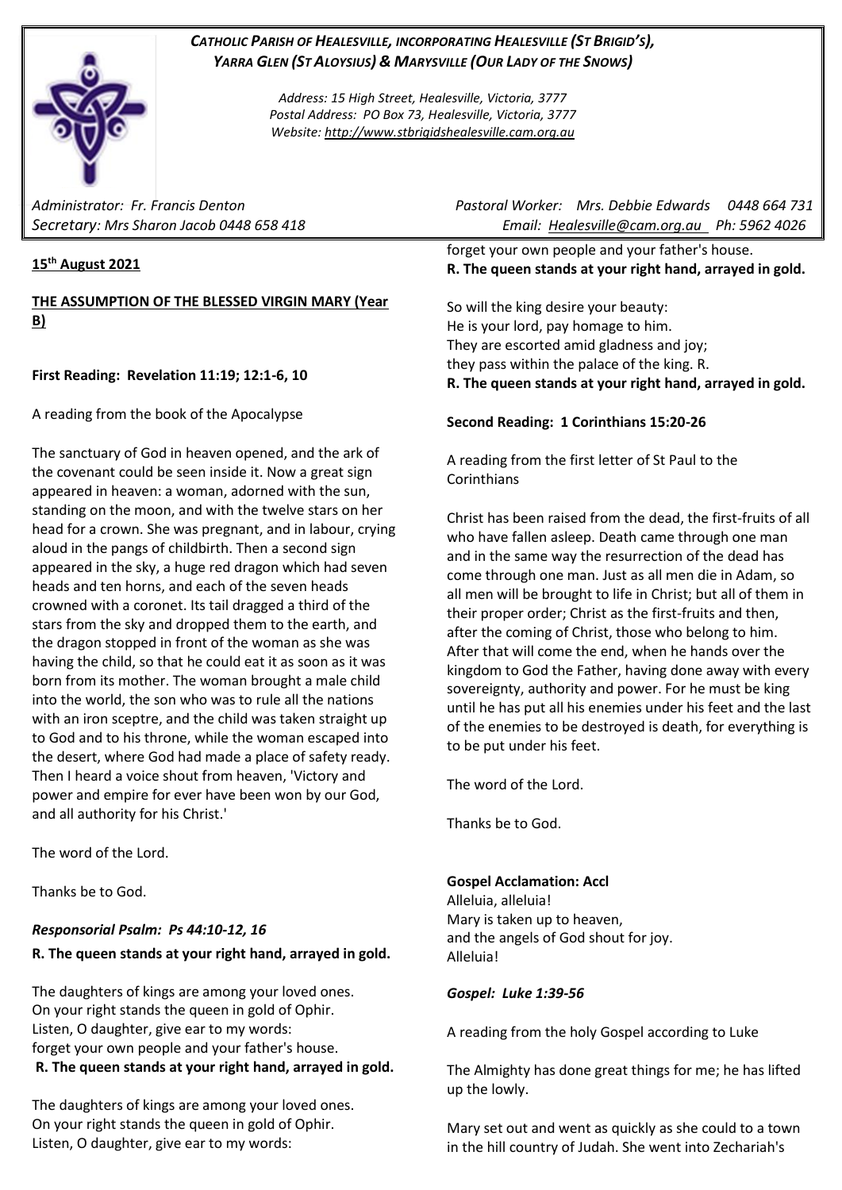

*CATHOLIC PARISH OF HEALESVILLE, INCORPORATING HEALESVILLE (ST BRIGID'S), YARRA GLEN (ST ALOYSIUS) & MARYSVILLE (OUR LADY OF THE SNOWS)*

> *Address: 15 High Street, Healesville, Victoria, 3777 Postal Address: PO Box 73, Healesville, Victoria, 3777 Website: [http://www.stbrigidshealesville.cam.org.au](http://www.stbrigidshealesville.cam.org.au/)*

# **15th August 2021**

**THE ASSUMPTION OF THE BLESSED VIRGIN MARY (Year B)**

# **First Reading: Revelation 11:19; 12:1-6, 10**

A reading from the book of the Apocalypse

The sanctuary of God in heaven opened, and the ark of the covenant could be seen inside it. Now a great sign appeared in heaven: a woman, adorned with the sun, standing on the moon, and with the twelve stars on her head for a crown. She was pregnant, and in labour, crying aloud in the pangs of childbirth. Then a second sign appeared in the sky, a huge red dragon which had seven heads and ten horns, and each of the seven heads crowned with a coronet. Its tail dragged a third of the stars from the sky and dropped them to the earth, and the dragon stopped in front of the woman as she was having the child, so that he could eat it as soon as it was born from its mother. The woman brought a male child into the world, the son who was to rule all the nations with an iron sceptre, and the child was taken straight up to God and to his throne, while the woman escaped into the desert, where God had made a place of safety ready. Then I heard a voice shout from heaven, 'Victory and power and empire for ever have been won by our God, and all authority for his Christ.'

The word of the Lord.

Thanks be to God.

# *Responsorial Psalm: Ps 44:10-12, 16* **R. The queen stands at your right hand, arrayed in gold.**

The daughters of kings are among your loved ones. On your right stands the queen in gold of Ophir. Listen, O daughter, give ear to my words: forget your own people and your father's house. **R. The queen stands at your right hand, arrayed in gold.**

The daughters of kings are among your loved ones. On your right stands the queen in gold of Ophir. Listen, O daughter, give ear to my words:

*Administrator: Fr. Francis Denton Pastoral Worker: Mrs. Debbie Edwards 0448 664 731 Secretary: Mrs Sharon Jacob 0448 658 418 Email: [Healesville@cam.org.au](mailto:Healesville@cam.org.au) Ph: 5962 4026* 

#### forget your own people and your father's house. **R. The queen stands at your right hand, arrayed in gold.**

So will the king desire your beauty: He is your lord, pay homage to him. They are escorted amid gladness and joy; they pass within the palace of the king. R. **R. The queen stands at your right hand, arrayed in gold.**

# **Second Reading: 1 Corinthians 15:20-26**

A reading from the first letter of St Paul to the Corinthians

Christ has been raised from the dead, the first-fruits of all who have fallen asleep. Death came through one man and in the same way the resurrection of the dead has come through one man. Just as all men die in Adam, so all men will be brought to life in Christ; but all of them in their proper order; Christ as the first-fruits and then, after the coming of Christ, those who belong to him. After that will come the end, when he hands over the kingdom to God the Father, having done away with every sovereignty, authority and power. For he must be king until he has put all his enemies under his feet and the last of the enemies to be destroyed is death, for everything is to be put under his feet.

The word of the Lord.

Thanks be to God.

# **Gospel Acclamation: Accl**

Alleluia, alleluia! Mary is taken up to heaven, and the angels of God shout for joy. Alleluia!

# *Gospel: Luke 1:39-56*

A reading from the holy Gospel according to Luke

The Almighty has done great things for me; he has lifted up the lowly.

Mary set out and went as quickly as she could to a town in the hill country of Judah. She went into Zechariah's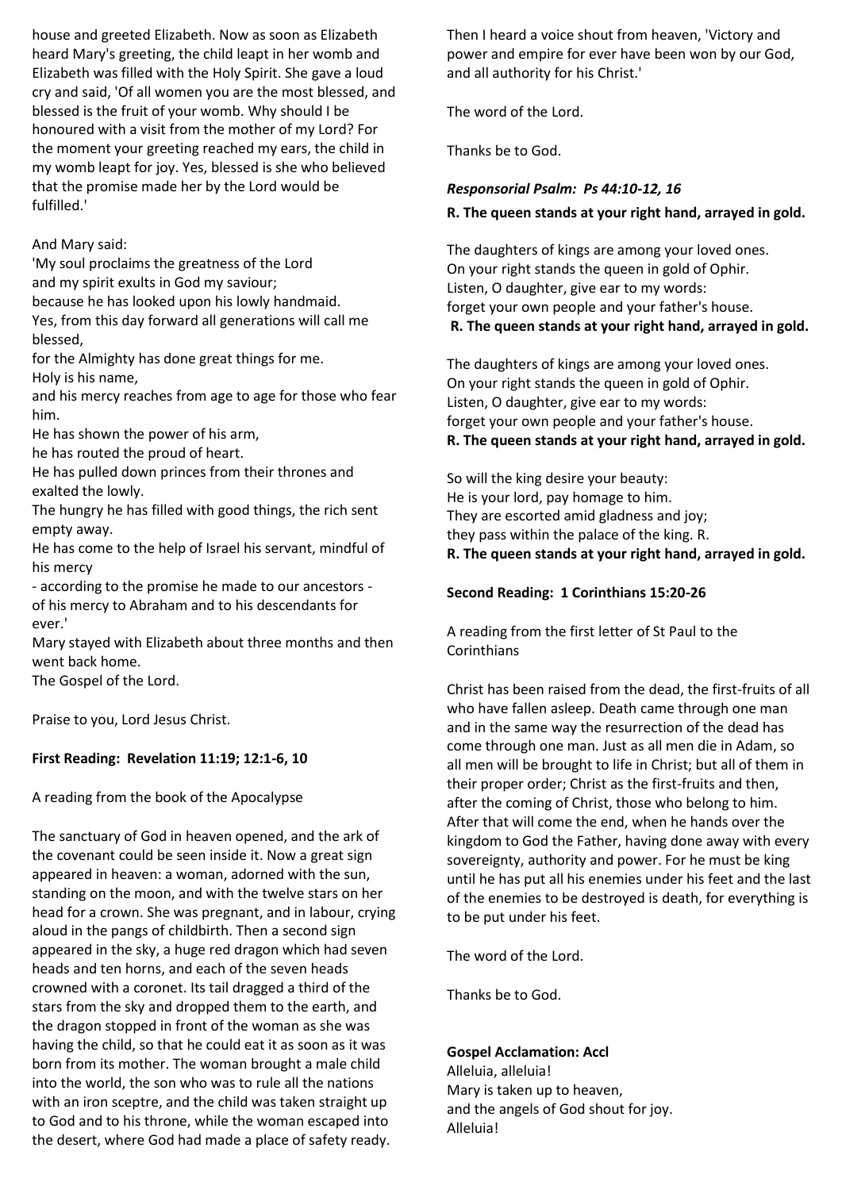house and greeted Elizabeth. Now as soon as Elizabeth heard Mary's greeting, the child leapt in her womb and Elizabeth was filled with the Holy Spirit. She gave a loud cry and said, 'Of all women you are the most blessed, and blessed is the fruit of your womb. Why should I be honoured with a visit from the mother of my Lord? For the moment your greeting reached my ears, the child in my womb leapt for joy. Yes, blessed is she who believed that the promise made her by the Lord would be fulfilled.'

And Mary said:

'My soul proclaims the greatness of the Lord and my spirit exults in God my saviour;

because he has looked upon his lowly handmaid.

Yes, from this day forward all generations will call me blessed,

for the Almighty has done great things for me. Holy is his name,

and his mercy reaches from age to age for those who fear him.

He has shown the power of his arm,

he has routed the proud of heart.

He has pulled down princes from their thrones and exalted the lowly.

The hungry he has filled with good things, the rich sent empty away.

He has come to the help of Israel his servant, mindful of his mercy

- according to the promise he made to our ancestors of his mercy to Abraham and to his descendants for ever.'

Mary stayed with Elizabeth about three months and then went back home.

The Gospel of the Lord.

Praise to you, Lord Jesus Christ.

# **First Reading: Revelation 11:19; 12:1-6, 10**

A reading from the book of the Apocalypse

The sanctuary of God in heaven opened, and the ark of the covenant could be seen inside it. Now a great sign appeared in heaven: a woman, adorned with the sun, standing on the moon, and with the twelve stars on her head for a crown. She was pregnant, and in labour, crying aloud in the pangs of childbirth. Then a second sign appeared in the sky, a huge red dragon which had seven heads and ten horns, and each of the seven heads crowned with a coronet. Its tail dragged a third of the stars from the sky and dropped them to the earth, and the dragon stopped in front of the woman as she was having the child, so that he could eat it as soon as it was born from its mother. The woman brought a male child into the world, the son who was to rule all the nations with an iron sceptre, and the child was taken straight up to God and to his throne, while the woman escaped into the desert, where God had made a place of safety ready.

Then I heard a voice shout from heaven, 'Victory and power and empire for ever have been won by our God, and all authority for his Christ.'

The word of the Lord.

Thanks be to God.

#### *Responsorial Psalm: Ps 44:10-12, 16*

#### **R. The queen stands at your right hand, arrayed in gold.**

The daughters of kings are among your loved ones. On your right stands the queen in gold of Ophir. Listen, O daughter, give ear to my words: forget your own people and your father's house. **R. The queen stands at your right hand, arrayed in gold.**

The daughters of kings are among your loved ones. On your right stands the queen in gold of Ophir. Listen, O daughter, give ear to my words: forget your own people and your father's house. **R. The queen stands at your right hand, arrayed in gold.**

So will the king desire your beauty: He is your lord, pay homage to him. They are escorted amid gladness and joy; they pass within the palace of the king. R. **R. The queen stands at your right hand, arrayed in gold.**

#### **Second Reading: 1 Corinthians 15:20-26**

A reading from the first letter of St Paul to the Corinthians

Christ has been raised from the dead, the first-fruits of all who have fallen asleep. Death came through one man and in the same way the resurrection of the dead has come through one man. Just as all men die in Adam, so all men will be brought to life in Christ; but all of them in their proper order; Christ as the first-fruits and then, after the coming of Christ, those who belong to him. After that will come the end, when he hands over the kingdom to God the Father, having done away with every sovereignty, authority and power. For he must be king until he has put all his enemies under his feet and the last of the enemies to be destroyed is death, for everything is to be put under his feet.

The word of the Lord.

Thanks be to God.

#### **Gospel Acclamation: Accl**

Alleluia, alleluia! Mary is taken up to heaven, and the angels of God shout for joy. Alleluia!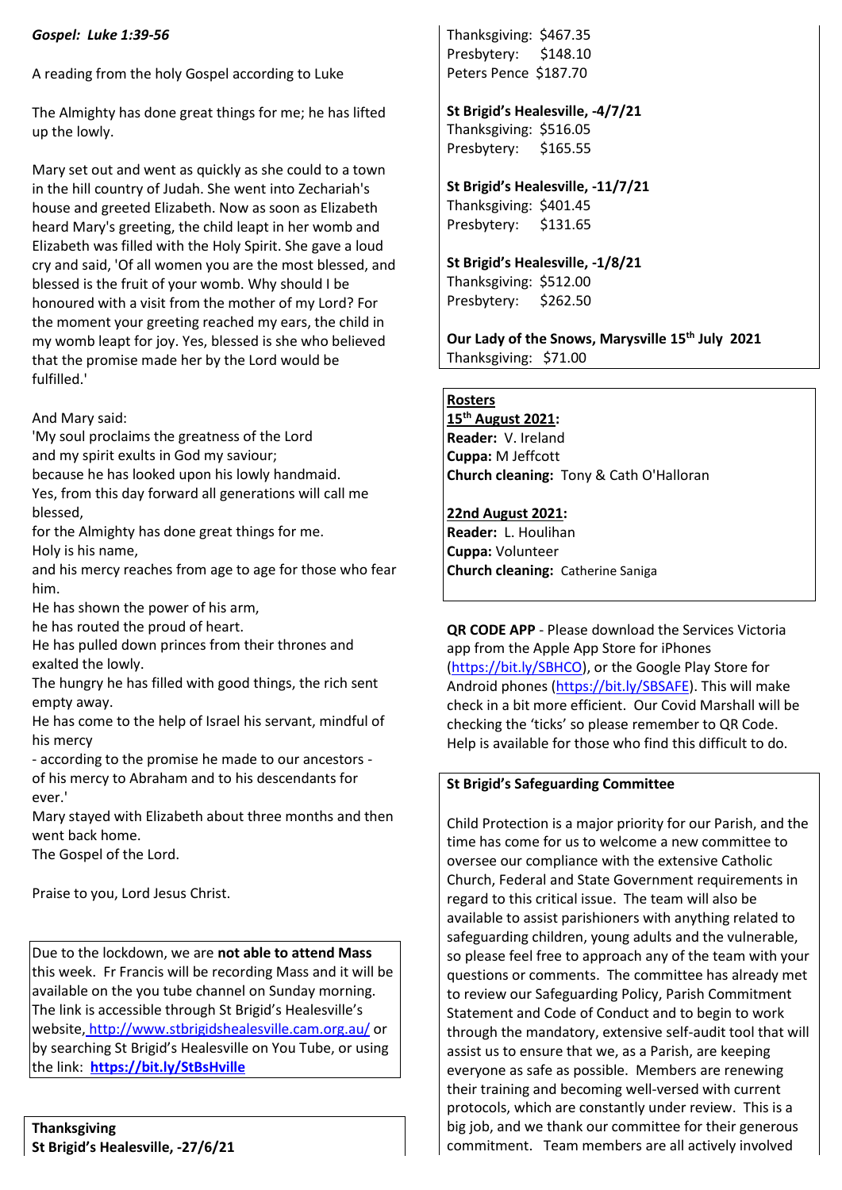#### *Gospel: Luke 1:39-56*

A reading from the holy Gospel according to Luke

The Almighty has done great things for me; he has lifted up the lowly.

Mary set out and went as quickly as she could to a town in the hill country of Judah. She went into Zechariah's house and greeted Elizabeth. Now as soon as Elizabeth heard Mary's greeting, the child leapt in her womb and Elizabeth was filled with the Holy Spirit. She gave a loud cry and said, 'Of all women you are the most blessed, and blessed is the fruit of your womb. Why should I be honoured with a visit from the mother of my Lord? For the moment your greeting reached my ears, the child in my womb leapt for joy. Yes, blessed is she who believed that the promise made her by the Lord would be fulfilled.'

And Mary said:

'My soul proclaims the greatness of the Lord and my spirit exults in God my saviour;

because he has looked upon his lowly handmaid.

Yes, from this day forward all generations will call me blessed,

for the Almighty has done great things for me. Holy is his name,

and his mercy reaches from age to age for those who fear him.

He has shown the power of his arm,

he has routed the proud of heart.

He has pulled down princes from their thrones and exalted the lowly.

The hungry he has filled with good things, the rich sent empty away.

He has come to the help of Israel his servant, mindful of his mercy

- according to the promise he made to our ancestors of his mercy to Abraham and to his descendants for ever.'

Mary stayed with Elizabeth about three months and then went back home.

The Gospel of the Lord.

Praise to you, Lord Jesus Christ.

Due to the lockdown, we are **not able to attend Mass** this week. Fr Francis will be recording Mass and it will be available on the you tube channel on Sunday morning. The link is accessible through St Brigid's Healesville's website, <http://www.stbrigidshealesville.cam.org.au/> or by searching St Brigid's Healesville on You Tube, or using the link: **<https://bit.ly/StBsHville>**

Thanksgiving: \$467.35 Presbytery: \$148.10 Peters Pence \$187.70

**St Brigid's Healesville, -4/7/21** Thanksgiving: \$516.05 Presbytery: \$165.55

**St Brigid's Healesville, -11/7/21** Thanksgiving: \$401.45 Presbytery: \$131.65

**St Brigid's Healesville, -1/8/21** Thanksgiving: \$512.00 Presbytery: \$262.50

**Our Lady of the Snows, Marysville 15th July 2021**  Thanksgiving: \$71.00

# **Rosters**

**15th August 2021: Reader:** V. Ireland **Cuppa:** M Jeffcott **Church cleaning:** Tony & Cath O'Halloran

# **22nd August 2021:**

**Reader:** L. Houlihan **Cuppa:** Volunteer **Church cleaning:** Catherine Saniga

**QR CODE APP** - Please download the Services Victoria app from the Apple App Store for iPhones [\(https://bit.ly/SBHCO\)](https://bit.ly/SBHCO), or the Google Play Store for Android phones [\(https://bit.ly/SBSAFE\)](https://bit.ly/SBSAFE). This will make check in a bit more efficient. Our Covid Marshall will be checking the 'ticks' so please remember to QR Code. Help is available for those who find this difficult to do.

# **St Brigid's Safeguarding Committee**

Child Protection is a major priority for our Parish, and the time has come for us to welcome a new committee to oversee our compliance with the extensive Catholic Church, Federal and State Government requirements in regard to this critical issue. The team will also be available to assist parishioners with anything related to safeguarding children, young adults and the vulnerable, so please feel free to approach any of the team with your questions or comments. The committee has already met to review our Safeguarding Policy, Parish Commitment Statement and Code of Conduct and to begin to work through the mandatory, extensive self-audit tool that will assist us to ensure that we, as a Parish, are keeping everyone as safe as possible. Members are renewing their training and becoming well-versed with current protocols, which are constantly under review. This is a big job, and we thank our committee for their generous commitment. Team members are all actively involved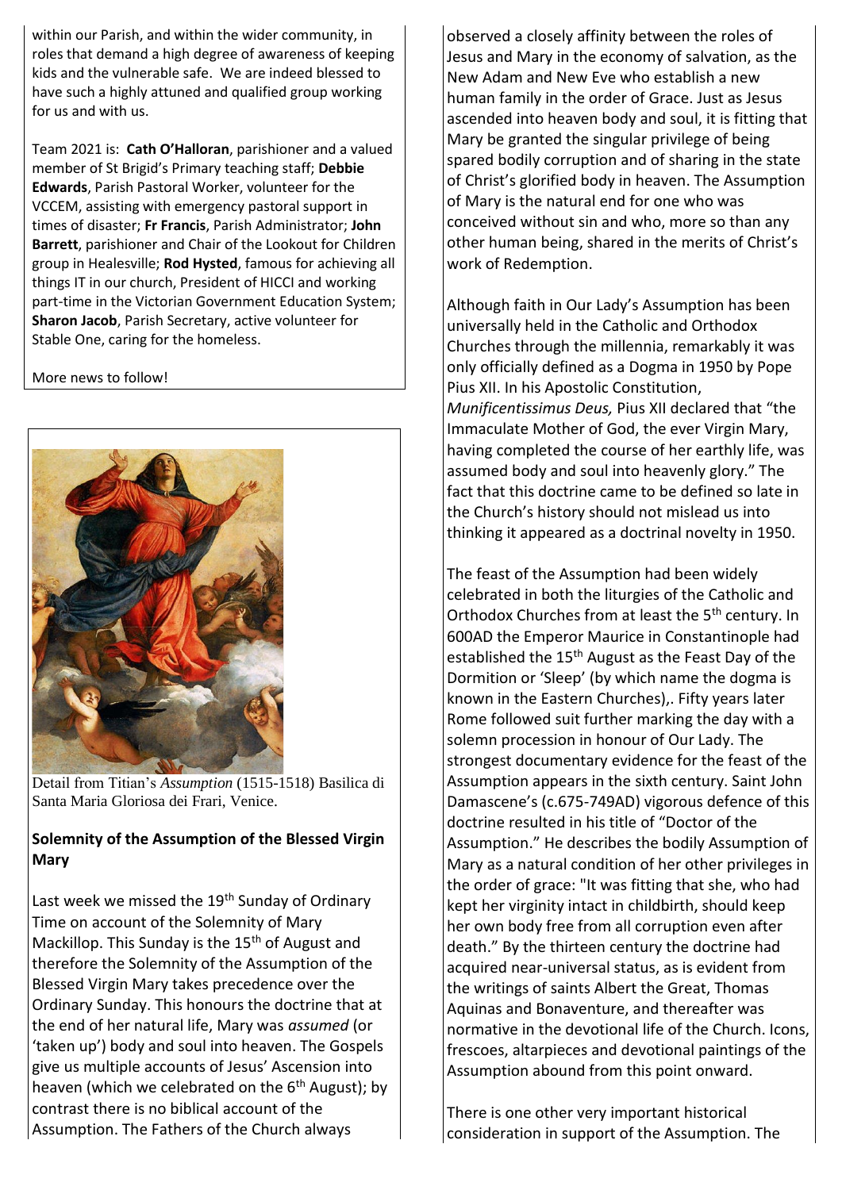within our Parish, and within the wider community, in roles that demand a high degree of awareness of keeping kids and the vulnerable safe. We are indeed blessed to have such a highly attuned and qualified group working for us and with us.

Team 2021 is: **Cath O'Halloran**, parishioner and a valued member of St Brigid's Primary teaching staff; **Debbie Edwards**, Parish Pastoral Worker, volunteer for the VCCEM, assisting with emergency pastoral support in times of disaster; **Fr Francis**, Parish Administrator; **John Barrett**, parishioner and Chair of the Lookout for Children group in Healesville; **Rod Hysted**, famous for achieving all things IT in our church, President of HICCI and working part-time in the Victorian Government Education System; **Sharon Jacob**, Parish Secretary, active volunteer for Stable One, caring for the homeless.

More news to follow!



Detail from Titian's *Assumption* (1515-1518) Basilica di Santa Maria Gloriosa dei Frari, Venice.

# **Solemnity of the Assumption of the Blessed Virgin Mary**

Last week we missed the 19<sup>th</sup> Sunday of Ordinary Time on account of the Solemnity of Mary Mackillop. This Sunday is the 15<sup>th</sup> of August and therefore the Solemnity of the Assumption of the Blessed Virgin Mary takes precedence over the Ordinary Sunday. This honours the doctrine that at the end of her natural life, Mary was *assumed* (or 'taken up') body and soul into heaven. The Gospels give us multiple accounts of Jesus' Ascension into heaven (which we celebrated on the  $6<sup>th</sup>$  August); by contrast there is no biblical account of the Assumption. The Fathers of the Church always

observed a closely affinity between the roles of Jesus and Mary in the economy of salvation, as the New Adam and New Eve who establish a new human family in the order of Grace. Just as Jesus ascended into heaven body and soul, it is fitting that Mary be granted the singular privilege of being spared bodily corruption and of sharing in the state of Christ's glorified body in heaven. The Assumption of Mary is the natural end for one who was conceived without sin and who, more so than any other human being, shared in the merits of Christ's work of Redemption.

Although faith in Our Lady's Assumption has been universally held in the Catholic and Orthodox Churches through the millennia, remarkably it was only officially defined as a Dogma in 1950 by Pope Pius XII. In his Apostolic Constitution, *Munificentissimus Deus,* Pius XII declared that "the Immaculate Mother of God, the ever Virgin Mary, having completed the course of her earthly life, was assumed body and soul into heavenly glory." The fact that this doctrine came to be defined so late in the Church's history should not mislead us into thinking it appeared as a doctrinal novelty in 1950.

The feast of the Assumption had been widely celebrated in both the liturgies of the Catholic and Orthodox Churches from at least the 5th century. In 600AD the Emperor Maurice in Constantinople had established the 15<sup>th</sup> August as the Feast Day of the Dormition or 'Sleep' (by which name the dogma is known in the Eastern Churches),. Fifty years later Rome followed suit further marking the day with a solemn procession in honour of Our Lady. The strongest documentary evidence for the feast of the Assumption appears in the sixth century. Saint John Damascene's (c.675-749AD) vigorous defence of this doctrine resulted in his title of "Doctor of the Assumption." He describes the bodily Assumption of Mary as a natural condition of her other privileges in the order of grace: "It was fitting that she, who had kept her virginity intact in childbirth, should keep her own body free from all corruption even after death." By the thirteen century the doctrine had acquired near-universal status, as is evident from the writings of saints Albert the Great, Thomas Aquinas and Bonaventure, and thereafter was normative in the devotional life of the Church. Icons, frescoes, altarpieces and devotional paintings of the Assumption abound from this point onward.

There is one other very important historical consideration in support of the Assumption. The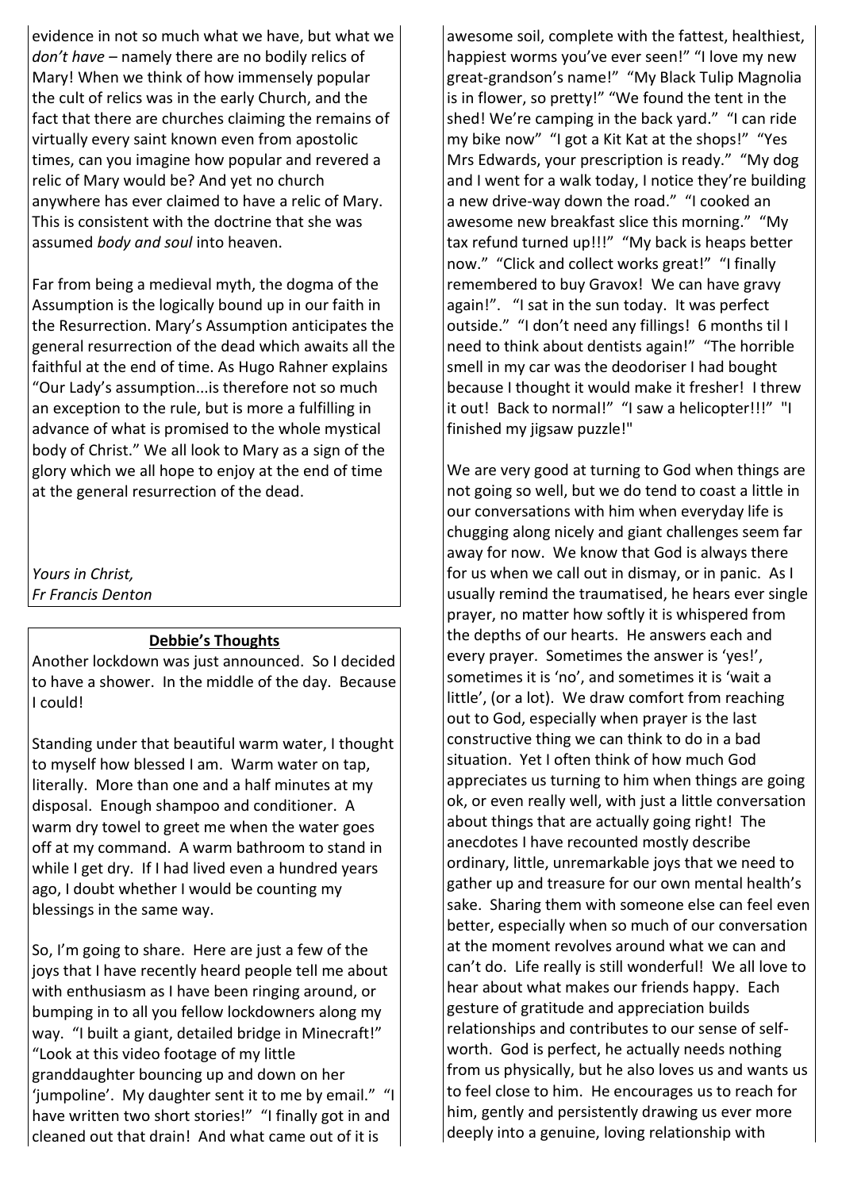evidence in not so much what we have, but what we *don't have* – namely there are no bodily relics of Mary! When we think of how immensely popular the cult of relics was in the early Church, and the fact that there are churches claiming the remains of virtually every saint known even from apostolic times, can you imagine how popular and revered a relic of Mary would be? And yet no church anywhere has ever claimed to have a relic of Mary. This is consistent with the doctrine that she was assumed *body and soul* into heaven.

Far from being a medieval myth, the dogma of the Assumption is the logically bound up in our faith in the Resurrection. Mary's Assumption anticipates the general resurrection of the dead which awaits all the faithful at the end of time. As Hugo Rahner explains "Our Lady's assumption...is therefore not so much an exception to the rule, but is more a fulfilling in advance of what is promised to the whole mystical body of Christ." We all look to Mary as a sign of the glory which we all hope to enjoy at the end of time at the general resurrection of the dead.

*Yours in Christ, Fr Francis Denton* 

# **Debbie's Thoughts**

Another lockdown was just announced. So I decided to have a shower. In the middle of the day. Because I could!

Standing under that beautiful warm water, I thought to myself how blessed I am. Warm water on tap, literally. More than one and a half minutes at my disposal. Enough shampoo and conditioner. A warm dry towel to greet me when the water goes off at my command. A warm bathroom to stand in while I get dry. If I had lived even a hundred years ago, I doubt whether I would be counting my blessings in the same way.

So, I'm going to share. Here are just a few of the joys that I have recently heard people tell me about with enthusiasm as I have been ringing around, or bumping in to all you fellow lockdowners along my way. "I built a giant, detailed bridge in Minecraft!" "Look at this video footage of my little granddaughter bouncing up and down on her 'jumpoline'. My daughter sent it to me by email." "I have written two short stories!" "I finally got in and cleaned out that drain! And what came out of it is

awesome soil, complete with the fattest, healthiest, happiest worms you've ever seen!" "I love my new great-grandson's name!" "My Black Tulip Magnolia is in flower, so pretty!" "We found the tent in the shed! We're camping in the back yard." "I can ride my bike now" "I got a Kit Kat at the shops!" "Yes Mrs Edwards, your prescription is ready." "My dog and I went for a walk today, I notice they're building a new drive-way down the road." "I cooked an awesome new breakfast slice this morning." "My tax refund turned up!!!" "My back is heaps better now." "Click and collect works great!" "I finally remembered to buy Gravox! We can have gravy again!". "I sat in the sun today. It was perfect outside." "I don't need any fillings! 6 months til I need to think about dentists again!" "The horrible smell in my car was the deodoriser I had bought because I thought it would make it fresher! I threw it out! Back to normal!" "I saw a helicopter!!!" "I finished my jigsaw puzzle!"

We are very good at turning to God when things are not going so well, but we do tend to coast a little in our conversations with him when everyday life is chugging along nicely and giant challenges seem far away for now. We know that God is always there for us when we call out in dismay, or in panic. As I usually remind the traumatised, he hears ever single prayer, no matter how softly it is whispered from the depths of our hearts. He answers each and every prayer. Sometimes the answer is 'yes!', sometimes it is 'no', and sometimes it is 'wait a little', (or a lot). We draw comfort from reaching out to God, especially when prayer is the last constructive thing we can think to do in a bad situation. Yet I often think of how much God appreciates us turning to him when things are going ok, or even really well, with just a little conversation about things that are actually going right! The anecdotes I have recounted mostly describe ordinary, little, unremarkable joys that we need to gather up and treasure for our own mental health's sake. Sharing them with someone else can feel even better, especially when so much of our conversation at the moment revolves around what we can and can't do. Life really is still wonderful! We all love to hear about what makes our friends happy. Each gesture of gratitude and appreciation builds relationships and contributes to our sense of selfworth. God is perfect, he actually needs nothing from us physically, but he also loves us and wants us to feel close to him. He encourages us to reach for him, gently and persistently drawing us ever more deeply into a genuine, loving relationship with